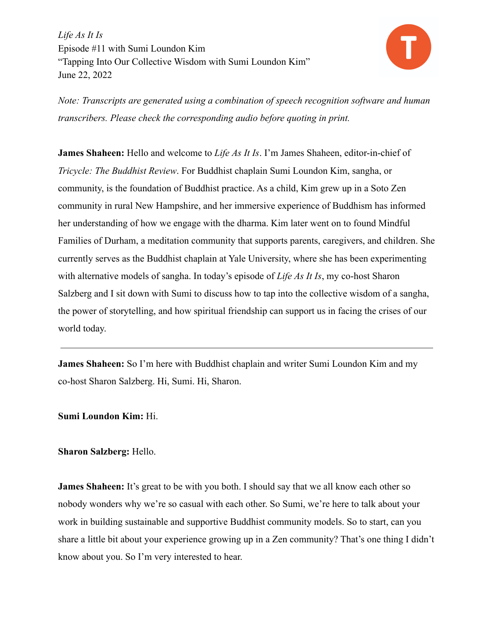

*Note: Transcripts are generated using a combination of speech recognition software and human transcribers. Please check the corresponding audio before quoting in print.*

**James Shaheen:** Hello and welcome to *Life As It Is*. I'm James Shaheen, editor-in-chief of *Tricycle: The Buddhist Review*. For Buddhist chaplain Sumi Loundon Kim, sangha, or community, is the foundation of Buddhist practice. As a child, Kim grew up in a Soto Zen community in rural New Hampshire, and her immersive experience of Buddhism has informed her understanding of how we engage with the dharma. Kim later went on to found Mindful Families of Durham, a meditation community that supports parents, caregivers, and children. She currently serves as the Buddhist chaplain at Yale University, where she has been experimenting with alternative models of sangha. In today's episode of *Life As It Is*, my co-host Sharon Salzberg and I sit down with Sumi to discuss how to tap into the collective wisdom of a sangha, the power of storytelling, and how spiritual friendship can support us in facing the crises of our world today.

**James Shaheen:** So I'm here with Buddhist chaplain and writer Sumi Loundon Kim and my co-host Sharon Salzberg. Hi, Sumi. Hi, Sharon.

**Sumi Loundon Kim:** Hi.

## **Sharon Salzberg:** Hello.

**James Shaheen:** It's great to be with you both. I should say that we all know each other so nobody wonders why we're so casual with each other. So Sumi, we're here to talk about your work in building sustainable and supportive Buddhist community models. So to start, can you share a little bit about your experience growing up in a Zen community? That's one thing I didn't know about you. So I'm very interested to hear.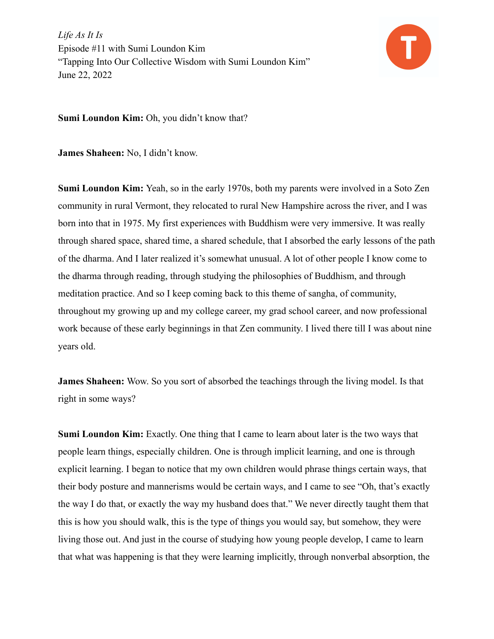

**Sumi Loundon Kim:** Oh, you didn't know that?

**James Shaheen:** No, I didn't know.

**Sumi Loundon Kim:** Yeah, so in the early 1970s, both my parents were involved in a Soto Zen community in rural Vermont, they relocated to rural New Hampshire across the river, and I was born into that in 1975. My first experiences with Buddhism were very immersive. It was really through shared space, shared time, a shared schedule, that I absorbed the early lessons of the path of the dharma. And I later realized it's somewhat unusual. A lot of other people I know come to the dharma through reading, through studying the philosophies of Buddhism, and through meditation practice. And so I keep coming back to this theme of sangha, of community, throughout my growing up and my college career, my grad school career, and now professional work because of these early beginnings in that Zen community. I lived there till I was about nine years old.

**James Shaheen:** Wow. So you sort of absorbed the teachings through the living model. Is that right in some ways?

**Sumi Loundon Kim:** Exactly. One thing that I came to learn about later is the two ways that people learn things, especially children. One is through implicit learning, and one is through explicit learning. I began to notice that my own children would phrase things certain ways, that their body posture and mannerisms would be certain ways, and I came to see "Oh, that's exactly the way I do that, or exactly the way my husband does that." We never directly taught them that this is how you should walk, this is the type of things you would say, but somehow, they were living those out. And just in the course of studying how young people develop, I came to learn that what was happening is that they were learning implicitly, through nonverbal absorption, the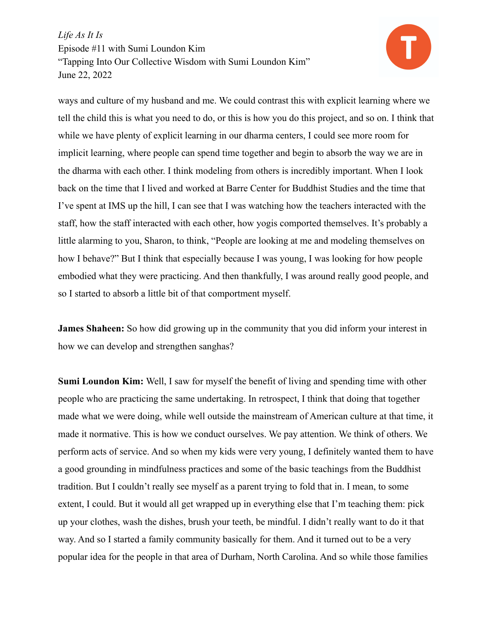

ways and culture of my husband and me. We could contrast this with explicit learning where we tell the child this is what you need to do, or this is how you do this project, and so on. I think that while we have plenty of explicit learning in our dharma centers, I could see more room for implicit learning, where people can spend time together and begin to absorb the way we are in the dharma with each other. I think modeling from others is incredibly important. When I look back on the time that I lived and worked at Barre Center for Buddhist Studies and the time that I've spent at IMS up the hill, I can see that I was watching how the teachers interacted with the staff, how the staff interacted with each other, how yogis comported themselves. It's probably a little alarming to you, Sharon, to think, "People are looking at me and modeling themselves on how I behave?" But I think that especially because I was young, I was looking for how people embodied what they were practicing. And then thankfully, I was around really good people, and so I started to absorb a little bit of that comportment myself.

**James Shaheen:** So how did growing up in the community that you did inform your interest in how we can develop and strengthen sanghas?

**Sumi Loundon Kim:** Well, I saw for myself the benefit of living and spending time with other people who are practicing the same undertaking. In retrospect, I think that doing that together made what we were doing, while well outside the mainstream of American culture at that time, it made it normative. This is how we conduct ourselves. We pay attention. We think of others. We perform acts of service. And so when my kids were very young, I definitely wanted them to have a good grounding in mindfulness practices and some of the basic teachings from the Buddhist tradition. But I couldn't really see myself as a parent trying to fold that in. I mean, to some extent, I could. But it would all get wrapped up in everything else that I'm teaching them: pick up your clothes, wash the dishes, brush your teeth, be mindful. I didn't really want to do it that way. And so I started a family community basically for them. And it turned out to be a very popular idea for the people in that area of Durham, North Carolina. And so while those families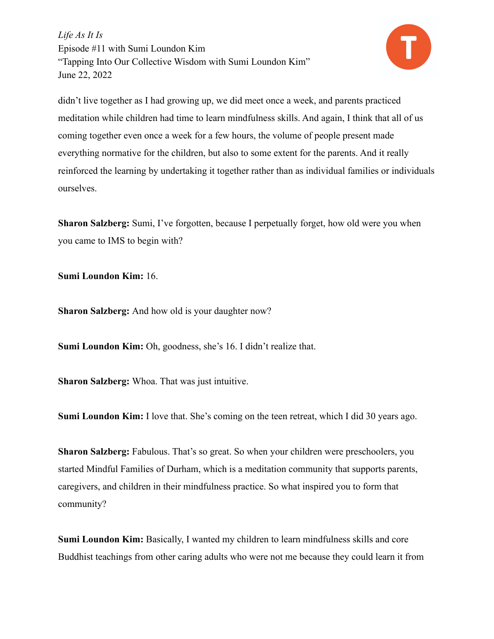

didn't live together as I had growing up, we did meet once a week, and parents practiced meditation while children had time to learn mindfulness skills. And again, I think that all of us coming together even once a week for a few hours, the volume of people present made everything normative for the children, but also to some extent for the parents. And it really reinforced the learning by undertaking it together rather than as individual families or individuals ourselves.

**Sharon Salzberg:** Sumi, I've forgotten, because I perpetually forget, how old were you when you came to IMS to begin with?

**Sumi Loundon Kim:** 16.

**Sharon Salzberg:** And how old is your daughter now?

**Sumi Loundon Kim:** Oh, goodness, she's 16. I didn't realize that.

**Sharon Salzberg:** Whoa. That was just intuitive.

**Sumi Loundon Kim:** I love that. She's coming on the teen retreat, which I did 30 years ago.

**Sharon Salzberg:** Fabulous. That's so great. So when your children were preschoolers, you started Mindful Families of Durham, which is a meditation community that supports parents, caregivers, and children in their mindfulness practice. So what inspired you to form that community?

**Sumi Loundon Kim:** Basically, I wanted my children to learn mindfulness skills and core Buddhist teachings from other caring adults who were not me because they could learn it from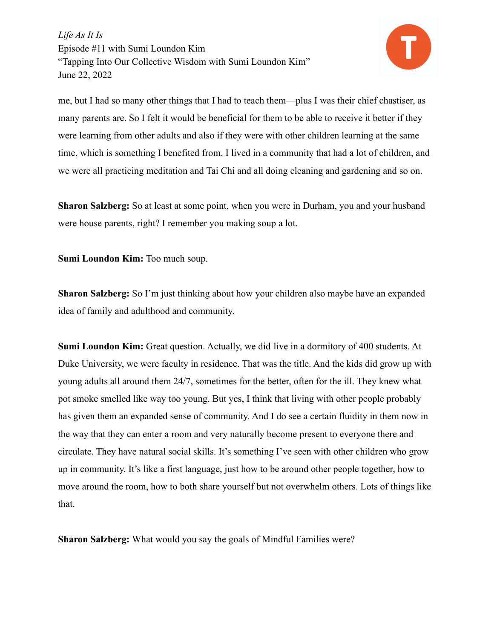

me, but I had so many other things that I had to teach them—plus I was their chief chastiser, as many parents are. So I felt it would be beneficial for them to be able to receive it better if they were learning from other adults and also if they were with other children learning at the same time, which is something I benefited from. I lived in a community that had a lot of children, and we were all practicing meditation and Tai Chi and all doing cleaning and gardening and so on.

**Sharon Salzberg:** So at least at some point, when you were in Durham, you and your husband were house parents, right? I remember you making soup a lot.

**Sumi Loundon Kim:** Too much soup.

**Sharon Salzberg:** So I'm just thinking about how your children also maybe have an expanded idea of family and adulthood and community.

**Sumi Loundon Kim:** Great question. Actually, we did live in a dormitory of 400 students. At Duke University, we were faculty in residence. That was the title. And the kids did grow up with young adults all around them 24/7, sometimes for the better, often for the ill. They knew what pot smoke smelled like way too young. But yes, I think that living with other people probably has given them an expanded sense of community. And I do see a certain fluidity in them now in the way that they can enter a room and very naturally become present to everyone there and circulate. They have natural social skills. It's something I've seen with other children who grow up in community. It's like a first language, just how to be around other people together, how to move around the room, how to both share yourself but not overwhelm others. Lots of things like that.

**Sharon Salzberg:** What would you say the goals of Mindful Families were?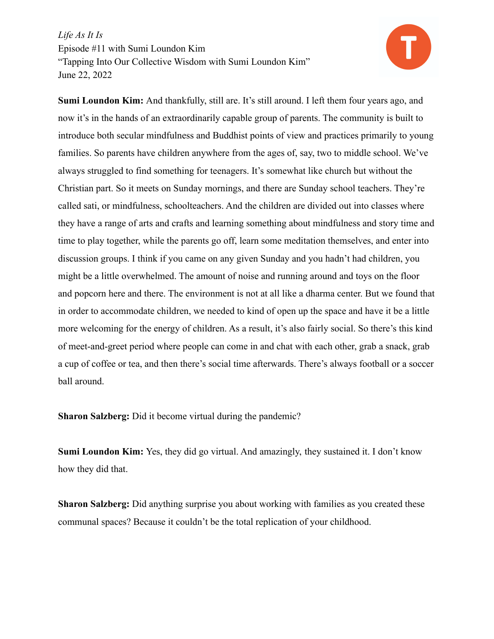

**Sumi Loundon Kim:** And thankfully, still are. It's still around. I left them four years ago, and now it's in the hands of an extraordinarily capable group of parents. The community is built to introduce both secular mindfulness and Buddhist points of view and practices primarily to young families. So parents have children anywhere from the ages of, say, two to middle school. We've always struggled to find something for teenagers. It's somewhat like church but without the Christian part. So it meets on Sunday mornings, and there are Sunday school teachers. They're called sati, or mindfulness, schoolteachers. And the children are divided out into classes where they have a range of arts and crafts and learning something about mindfulness and story time and time to play together, while the parents go off, learn some meditation themselves, and enter into discussion groups. I think if you came on any given Sunday and you hadn't had children, you might be a little overwhelmed. The amount of noise and running around and toys on the floor and popcorn here and there. The environment is not at all like a dharma center. But we found that in order to accommodate children, we needed to kind of open up the space and have it be a little more welcoming for the energy of children. As a result, it's also fairly social. So there's this kind of meet-and-greet period where people can come in and chat with each other, grab a snack, grab a cup of coffee or tea, and then there's social time afterwards. There's always football or a soccer ball around.

**Sharon Salzberg:** Did it become virtual during the pandemic?

**Sumi Loundon Kim:** Yes, they did go virtual. And amazingly, they sustained it. I don't know how they did that.

**Sharon Salzberg:** Did anything surprise you about working with families as you created these communal spaces? Because it couldn't be the total replication of your childhood.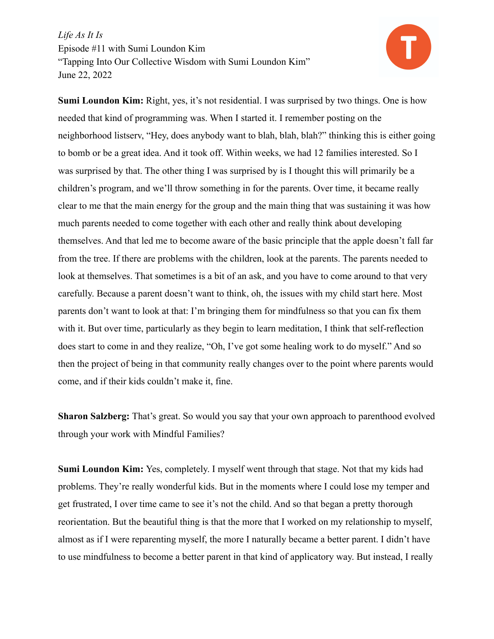

**Sumi Loundon Kim:** Right, yes, it's not residential. I was surprised by two things. One is how needed that kind of programming was. When I started it. I remember posting on the neighborhood listserv, "Hey, does anybody want to blah, blah, blah?" thinking this is either going to bomb or be a great idea. And it took off. Within weeks, we had 12 families interested. So I was surprised by that. The other thing I was surprised by is I thought this will primarily be a children's program, and we'll throw something in for the parents. Over time, it became really clear to me that the main energy for the group and the main thing that was sustaining it was how much parents needed to come together with each other and really think about developing themselves. And that led me to become aware of the basic principle that the apple doesn't fall far from the tree. If there are problems with the children, look at the parents. The parents needed to look at themselves. That sometimes is a bit of an ask, and you have to come around to that very carefully. Because a parent doesn't want to think, oh, the issues with my child start here. Most parents don't want to look at that: I'm bringing them for mindfulness so that you can fix them with it. But over time, particularly as they begin to learn meditation, I think that self-reflection does start to come in and they realize, "Oh, I've got some healing work to do myself." And so then the project of being in that community really changes over to the point where parents would come, and if their kids couldn't make it, fine.

**Sharon Salzberg:** That's great. So would you say that your own approach to parenthood evolved through your work with Mindful Families?

**Sumi Loundon Kim:** Yes, completely. I myself went through that stage. Not that my kids had problems. They're really wonderful kids. But in the moments where I could lose my temper and get frustrated, I over time came to see it's not the child. And so that began a pretty thorough reorientation. But the beautiful thing is that the more that I worked on my relationship to myself, almost as if I were reparenting myself, the more I naturally became a better parent. I didn't have to use mindfulness to become a better parent in that kind of applicatory way. But instead, I really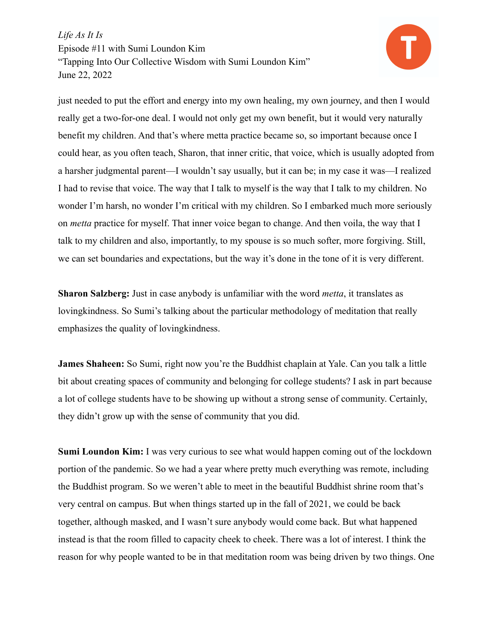

just needed to put the effort and energy into my own healing, my own journey, and then I would really get a two-for-one deal. I would not only get my own benefit, but it would very naturally benefit my children. And that's where metta practice became so, so important because once I could hear, as you often teach, Sharon, that inner critic, that voice, which is usually adopted from a harsher judgmental parent—I wouldn't say usually, but it can be; in my case it was—I realized I had to revise that voice. The way that I talk to myself is the way that I talk to my children. No wonder I'm harsh, no wonder I'm critical with my children. So I embarked much more seriously on *metta* practice for myself. That inner voice began to change. And then voila, the way that I talk to my children and also, importantly, to my spouse is so much softer, more forgiving. Still, we can set boundaries and expectations, but the way it's done in the tone of it is very different.

**Sharon Salzberg:** Just in case anybody is unfamiliar with the word *metta*, it translates as lovingkindness. So Sumi's talking about the particular methodology of meditation that really emphasizes the quality of lovingkindness.

**James Shaheen:** So Sumi, right now you're the Buddhist chaplain at Yale. Can you talk a little bit about creating spaces of community and belonging for college students? I ask in part because a lot of college students have to be showing up without a strong sense of community. Certainly, they didn't grow up with the sense of community that you did.

**Sumi Loundon Kim:** I was very curious to see what would happen coming out of the lockdown portion of the pandemic. So we had a year where pretty much everything was remote, including the Buddhist program. So we weren't able to meet in the beautiful Buddhist shrine room that's very central on campus. But when things started up in the fall of 2021, we could be back together, although masked, and I wasn't sure anybody would come back. But what happened instead is that the room filled to capacity cheek to cheek. There was a lot of interest. I think the reason for why people wanted to be in that meditation room was being driven by two things. One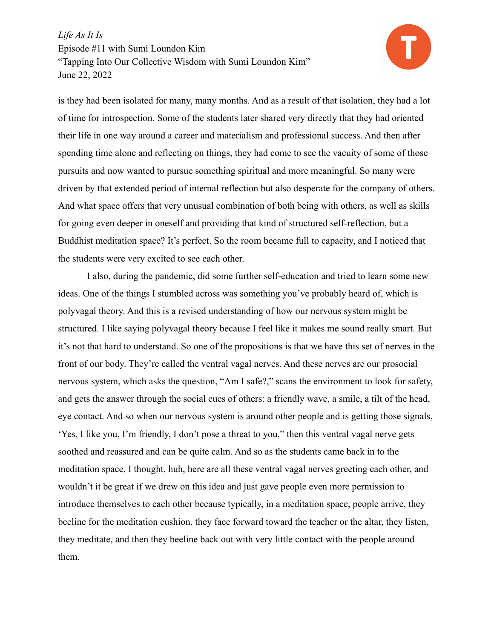

is they had been isolated for many, many months. And as a result of that isolation, they had a lot of time for introspection. Some of the students later shared very directly that they had oriented their life in one way around a career and materialism and professional success. And then after spending time alone and reflecting on things, they had come to see the vacuity of some of those pursuits and now wanted to pursue something spiritual and more meaningful. So many were driven by that extended period of internal reflection but also desperate for the company of others. And what space offers that very unusual combination of both being with others, as well as skills for going even deeper in oneself and providing that kind of structured self-reflection, but a Buddhist meditation space? It's perfect. So the room became full to capacity, and I noticed that the students were very excited to see each other.

I also, during the pandemic, did some further self-education and tried to learn some new ideas. One of the things I stumbled across was something you've probably heard of, which is polyvagal theory. And this is a revised understanding of how our nervous system might be structured. I like saying polyvagal theory because I feel like it makes me sound really smart. But it's not that hard to understand. So one of the propositions is that we have this set of nerves in the front of our body. They're called the ventral vagal nerves. And these nerves are our prosocial nervous system, which asks the question, "Am I safe?," scans the environment to look for safety, and gets the answer through the social cues of others: a friendly wave, a smile, a tilt of the head, eye contact. And so when our nervous system is around other people and is getting those signals, 'Yes, I like you, I'm friendly, I don't pose a threat to you," then this ventral vagal nerve gets soothed and reassured and can be quite calm. And so as the students came back in to the meditation space, I thought, huh, here are all these ventral vagal nerves greeting each other, and wouldn't it be great if we drew on this idea and just gave people even more permission to introduce themselves to each other because typically, in a meditation space, people arrive, they beeline for the meditation cushion, they face forward toward the teacher or the altar, they listen, they meditate, and then they beeline back out with very little contact with the people around them.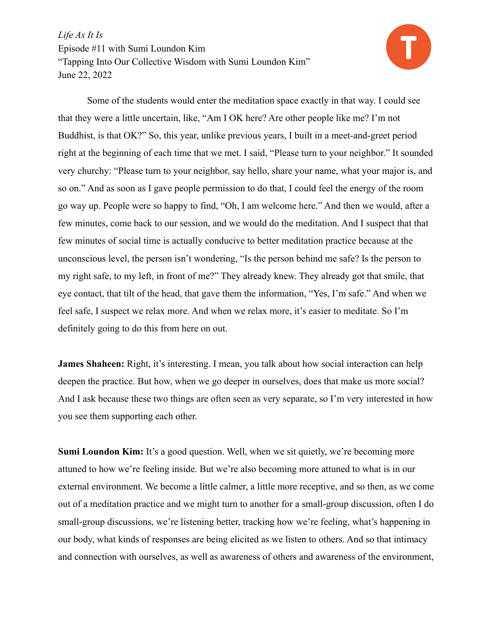

Some of the students would enter the meditation space exactly in that way. I could see that they were a little uncertain, like, "Am I OK here? Are other people like me? I'm not Buddhist, is that OK?" So, this year, unlike previous years, I built in a meet-and-greet period right at the beginning of each time that we met. I said, "Please turn to your neighbor." It sounded very churchy: "Please turn to your neighbor, say hello, share your name, what your major is, and so on." And as soon as I gave people permission to do that, I could feel the energy of the room go way up. People were so happy to find, "Oh, I am welcome here." And then we would, after a few minutes, come back to our session, and we would do the meditation. And I suspect that that few minutes of social time is actually conducive to better meditation practice because at the unconscious level, the person isn't wondering, "Is the person behind me safe? Is the person to my right safe, to my left, in front of me?" They already knew. They already got that smile, that eye contact, that tilt of the head, that gave them the information, "Yes, I'm safe." And when we feel safe, I suspect we relax more. And when we relax more, it's easier to meditate. So I'm definitely going to do this from here on out.

**James Shaheen:** Right, it's interesting. I mean, you talk about how social interaction can help deepen the practice. But how, when we go deeper in ourselves, does that make us more social? And I ask because these two things are often seen as very separate, so I'm very interested in how you see them supporting each other.

**Sumi Loundon Kim:** It's a good question. Well, when we sit quietly, we're becoming more attuned to how we're feeling inside. But we're also becoming more attuned to what is in our external environment. We become a little calmer, a little more receptive, and so then, as we come out of a meditation practice and we might turn to another for a small-group discussion, often I do small-group discussions, we're listening better, tracking how we're feeling, what's happening in our body, what kinds of responses are being elicited as we listen to others. And so that intimacy and connection with ourselves, as well as awareness of others and awareness of the environment,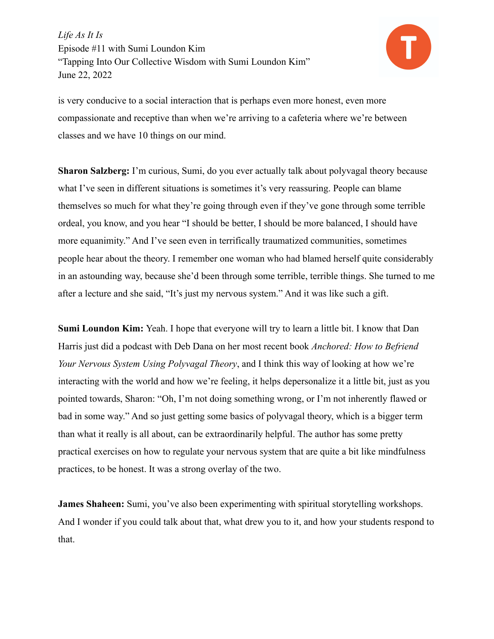

is very conducive to a social interaction that is perhaps even more honest, even more compassionate and receptive than when we're arriving to a cafeteria where we're between classes and we have 10 things on our mind.

**Sharon Salzberg:** I'm curious, Sumi, do you ever actually talk about polyvagal theory because what I've seen in different situations is sometimes it's very reassuring. People can blame themselves so much for what they're going through even if they've gone through some terrible ordeal, you know, and you hear "I should be better, I should be more balanced, I should have more equanimity." And I've seen even in terrifically traumatized communities, sometimes people hear about the theory. I remember one woman who had blamed herself quite considerably in an astounding way, because she'd been through some terrible, terrible things. She turned to me after a lecture and she said, "It's just my nervous system." And it was like such a gift.

**Sumi Loundon Kim:** Yeah. I hope that everyone will try to learn a little bit. I know that Dan Harris just did a podcast with Deb Dana on her most recent book *Anchored: How to Befriend Your Nervous System Using Polyvagal Theory*, and I think this way of looking at how we're interacting with the world and how we're feeling, it helps depersonalize it a little bit, just as you pointed towards, Sharon: "Oh, I'm not doing something wrong, or I'm not inherently flawed or bad in some way." And so just getting some basics of polyvagal theory, which is a bigger term than what it really is all about, can be extraordinarily helpful. The author has some pretty practical exercises on how to regulate your nervous system that are quite a bit like mindfulness practices, to be honest. It was a strong overlay of the two.

**James Shaheen:** Sumi, you've also been experimenting with spiritual storytelling workshops. And I wonder if you could talk about that, what drew you to it, and how your students respond to that.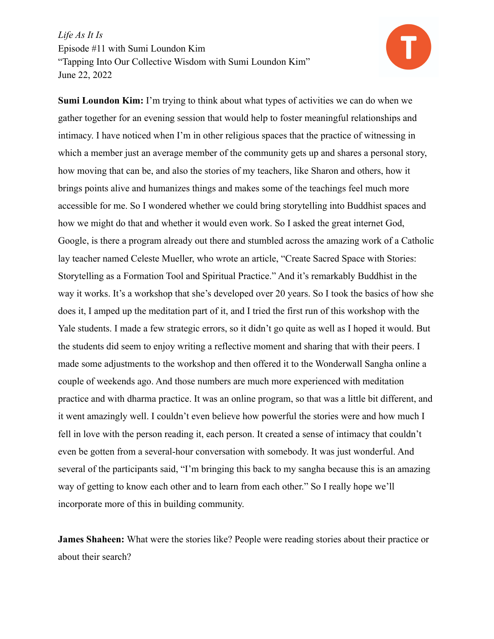

**Sumi Loundon Kim:** I'm trying to think about what types of activities we can do when we gather together for an evening session that would help to foster meaningful relationships and intimacy. I have noticed when I'm in other religious spaces that the practice of witnessing in which a member just an average member of the community gets up and shares a personal story, how moving that can be, and also the stories of my teachers, like Sharon and others, how it brings points alive and humanizes things and makes some of the teachings feel much more accessible for me. So I wondered whether we could bring storytelling into Buddhist spaces and how we might do that and whether it would even work. So I asked the great internet God, Google, is there a program already out there and stumbled across the amazing work of a Catholic lay teacher named Celeste Mueller, who wrote an article, "Create Sacred Space with Stories: Storytelling as a Formation Tool and Spiritual Practice." And it's remarkably Buddhist in the way it works. It's a workshop that she's developed over 20 years. So I took the basics of how she does it, I amped up the meditation part of it, and I tried the first run of this workshop with the Yale students. I made a few strategic errors, so it didn't go quite as well as I hoped it would. But the students did seem to enjoy writing a reflective moment and sharing that with their peers. I made some adjustments to the workshop and then offered it to the Wonderwall Sangha online a couple of weekends ago. And those numbers are much more experienced with meditation practice and with dharma practice. It was an online program, so that was a little bit different, and it went amazingly well. I couldn't even believe how powerful the stories were and how much I fell in love with the person reading it, each person. It created a sense of intimacy that couldn't even be gotten from a several-hour conversation with somebody. It was just wonderful. And several of the participants said, "I'm bringing this back to my sangha because this is an amazing way of getting to know each other and to learn from each other." So I really hope we'll incorporate more of this in building community.

**James Shaheen:** What were the stories like? People were reading stories about their practice or about their search?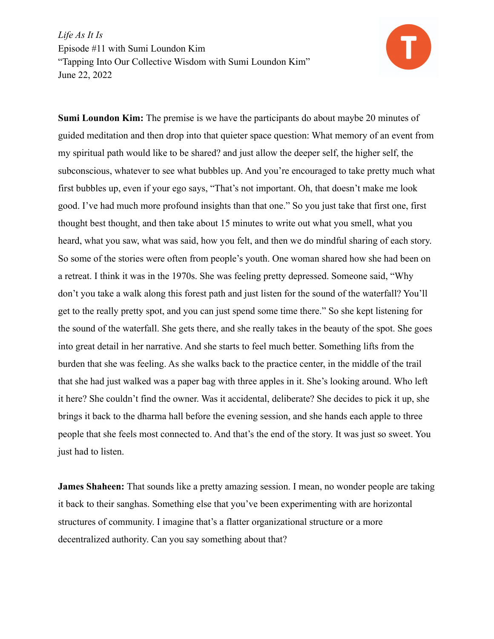

**Sumi Loundon Kim:** The premise is we have the participants do about maybe 20 minutes of guided meditation and then drop into that quieter space question: What memory of an event from my spiritual path would like to be shared? and just allow the deeper self, the higher self, the subconscious, whatever to see what bubbles up. And you're encouraged to take pretty much what first bubbles up, even if your ego says, "That's not important. Oh, that doesn't make me look good. I've had much more profound insights than that one." So you just take that first one, first thought best thought, and then take about 15 minutes to write out what you smell, what you heard, what you saw, what was said, how you felt, and then we do mindful sharing of each story. So some of the stories were often from people's youth. One woman shared how she had been on a retreat. I think it was in the 1970s. She was feeling pretty depressed. Someone said, "Why don't you take a walk along this forest path and just listen for the sound of the waterfall? You'll get to the really pretty spot, and you can just spend some time there." So she kept listening for the sound of the waterfall. She gets there, and she really takes in the beauty of the spot. She goes into great detail in her narrative. And she starts to feel much better. Something lifts from the burden that she was feeling. As she walks back to the practice center, in the middle of the trail that she had just walked was a paper bag with three apples in it. She's looking around. Who left it here? She couldn't find the owner. Was it accidental, deliberate? She decides to pick it up, she brings it back to the dharma hall before the evening session, and she hands each apple to three people that she feels most connected to. And that's the end of the story. It was just so sweet. You just had to listen.

**James Shaheen:** That sounds like a pretty amazing session. I mean, no wonder people are taking it back to their sanghas. Something else that you've been experimenting with are horizontal structures of community. I imagine that's a flatter organizational structure or a more decentralized authority. Can you say something about that?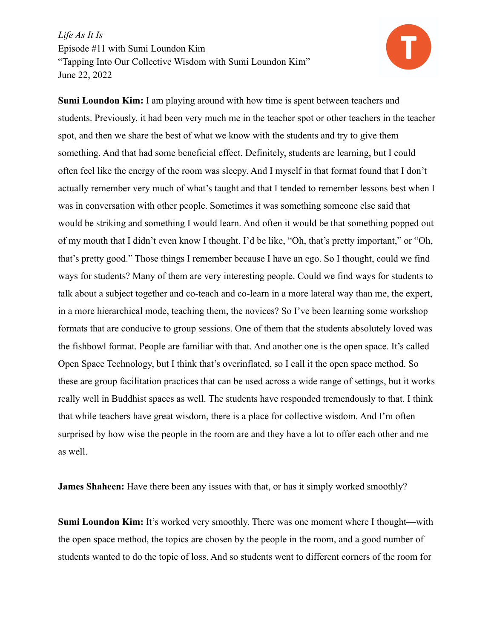

**Sumi Loundon Kim:** I am playing around with how time is spent between teachers and students. Previously, it had been very much me in the teacher spot or other teachers in the teacher spot, and then we share the best of what we know with the students and try to give them something. And that had some beneficial effect. Definitely, students are learning, but I could often feel like the energy of the room was sleepy. And I myself in that format found that I don't actually remember very much of what's taught and that I tended to remember lessons best when I was in conversation with other people. Sometimes it was something someone else said that would be striking and something I would learn. And often it would be that something popped out of my mouth that I didn't even know I thought. I'd be like, "Oh, that's pretty important," or "Oh, that's pretty good." Those things I remember because I have an ego. So I thought, could we find ways for students? Many of them are very interesting people. Could we find ways for students to talk about a subject together and co-teach and co-learn in a more lateral way than me, the expert, in a more hierarchical mode, teaching them, the novices? So I've been learning some workshop formats that are conducive to group sessions. One of them that the students absolutely loved was the fishbowl format. People are familiar with that. And another one is the open space. It's called Open Space Technology, but I think that's overinflated, so I call it the open space method. So these are group facilitation practices that can be used across a wide range of settings, but it works really well in Buddhist spaces as well. The students have responded tremendously to that. I think that while teachers have great wisdom, there is a place for collective wisdom. And I'm often surprised by how wise the people in the room are and they have a lot to offer each other and me as well.

**James Shaheen:** Have there been any issues with that, or has it simply worked smoothly?

**Sumi Loundon Kim:** It's worked very smoothly. There was one moment where I thought—with the open space method, the topics are chosen by the people in the room, and a good number of students wanted to do the topic of loss. And so students went to different corners of the room for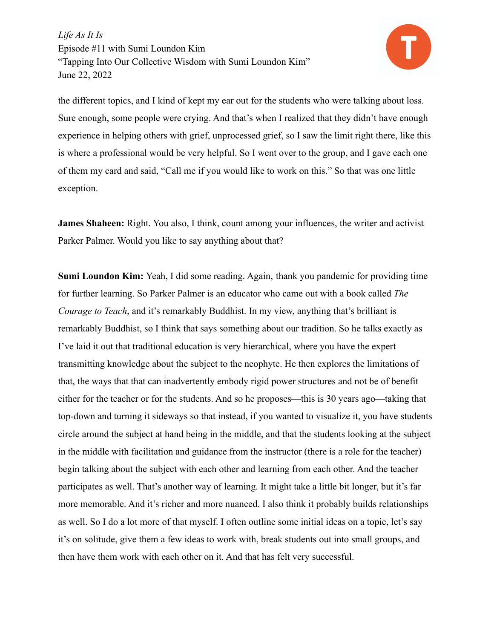

the different topics, and I kind of kept my ear out for the students who were talking about loss. Sure enough, some people were crying. And that's when I realized that they didn't have enough experience in helping others with grief, unprocessed grief, so I saw the limit right there, like this is where a professional would be very helpful. So I went over to the group, and I gave each one of them my card and said, "Call me if you would like to work on this." So that was one little exception.

**James Shaheen:** Right. You also, I think, count among your influences, the writer and activist Parker Palmer. Would you like to say anything about that?

**Sumi Loundon Kim:** Yeah, I did some reading. Again, thank you pandemic for providing time for further learning. So Parker Palmer is an educator who came out with a book called *The Courage to Teach*, and it's remarkably Buddhist. In my view, anything that's brilliant is remarkably Buddhist, so I think that says something about our tradition. So he talks exactly as I've laid it out that traditional education is very hierarchical, where you have the expert transmitting knowledge about the subject to the neophyte. He then explores the limitations of that, the ways that that can inadvertently embody rigid power structures and not be of benefit either for the teacher or for the students. And so he proposes—this is 30 years ago—taking that top-down and turning it sideways so that instead, if you wanted to visualize it, you have students circle around the subject at hand being in the middle, and that the students looking at the subject in the middle with facilitation and guidance from the instructor (there is a role for the teacher) begin talking about the subject with each other and learning from each other. And the teacher participates as well. That's another way of learning. It might take a little bit longer, but it's far more memorable. And it's richer and more nuanced. I also think it probably builds relationships as well. So I do a lot more of that myself. I often outline some initial ideas on a topic, let's say it's on solitude, give them a few ideas to work with, break students out into small groups, and then have them work with each other on it. And that has felt very successful.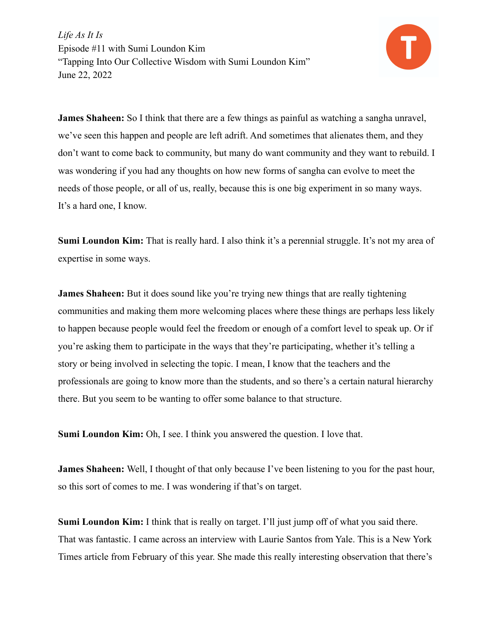

**James Shaheen:** So I think that there are a few things as painful as watching a sangha unravel, we've seen this happen and people are left adrift. And sometimes that alienates them, and they don't want to come back to community, but many do want community and they want to rebuild. I was wondering if you had any thoughts on how new forms of sangha can evolve to meet the needs of those people, or all of us, really, because this is one big experiment in so many ways. It's a hard one, I know.

**Sumi Loundon Kim:** That is really hard. I also think it's a perennial struggle. It's not my area of expertise in some ways.

**James Shaheen:** But it does sound like you're trying new things that are really tightening communities and making them more welcoming places where these things are perhaps less likely to happen because people would feel the freedom or enough of a comfort level to speak up. Or if you're asking them to participate in the ways that they're participating, whether it's telling a story or being involved in selecting the topic. I mean, I know that the teachers and the professionals are going to know more than the students, and so there's a certain natural hierarchy there. But you seem to be wanting to offer some balance to that structure.

**Sumi Loundon Kim:** Oh, I see. I think you answered the question. I love that.

**James Shaheen:** Well, I thought of that only because I've been listening to you for the past hour, so this sort of comes to me. I was wondering if that's on target.

**Sumi Loundon Kim:** I think that is really on target. I'll just jump off of what you said there. That was fantastic. I came across an interview with Laurie Santos from Yale. This is a New York Times article from February of this year. She made this really interesting observation that there's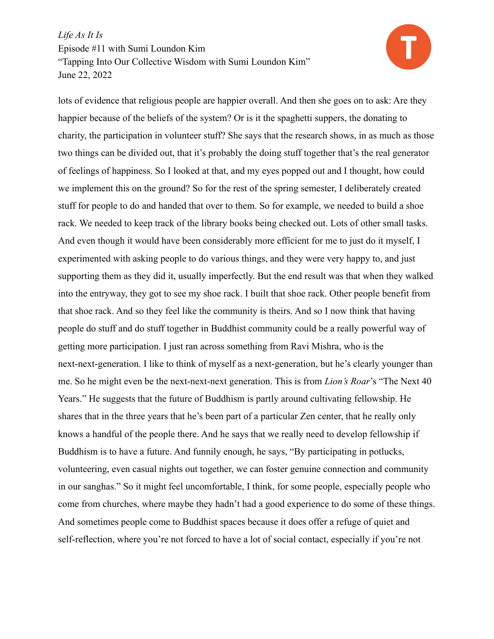

lots of evidence that religious people are happier overall. And then she goes on to ask: Are they happier because of the beliefs of the system? Or is it the spaghetti suppers, the donating to charity, the participation in volunteer stuff? She says that the research shows, in as much as those two things can be divided out, that it's probably the doing stuff together that's the real generator of feelings of happiness. So I looked at that, and my eyes popped out and I thought, how could we implement this on the ground? So for the rest of the spring semester, I deliberately created stuff for people to do and handed that over to them. So for example, we needed to build a shoe rack. We needed to keep track of the library books being checked out. Lots of other small tasks. And even though it would have been considerably more efficient for me to just do it myself, I experimented with asking people to do various things, and they were very happy to, and just supporting them as they did it, usually imperfectly. But the end result was that when they walked into the entryway, they got to see my shoe rack. I built that shoe rack. Other people benefit from that shoe rack. And so they feel like the community is theirs. And so I now think that having people do stuff and do stuff together in Buddhist community could be a really powerful way of getting more participation. I just ran across something from Ravi Mishra, who is the next-next-generation. I like to think of myself as a next-generation, but he's clearly younger than me. So he might even be the next-next-next generation. This is from *Lion's Roar*'s "The Next 40 Years." He suggests that the future of Buddhism is partly around cultivating fellowship. He shares that in the three years that he's been part of a particular Zen center, that he really only knows a handful of the people there. And he says that we really need to develop fellowship if Buddhism is to have a future. And funnily enough, he says, "By participating in potlucks, volunteering, even casual nights out together, we can foster genuine connection and community in our sanghas." So it might feel uncomfortable, I think, for some people, especially people who come from churches, where maybe they hadn't had a good experience to do some of these things. And sometimes people come to Buddhist spaces because it does offer a refuge of quiet and self-reflection, where you're not forced to have a lot of social contact, especially if you're not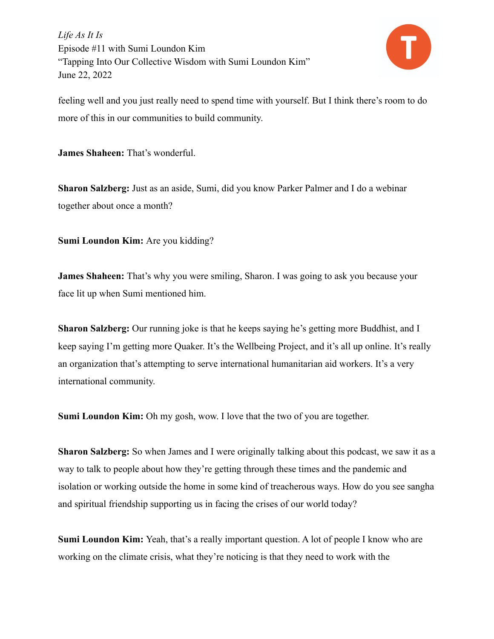

feeling well and you just really need to spend time with yourself. But I think there's room to do more of this in our communities to build community.

**James Shaheen:** That's wonderful.

**Sharon Salzberg:** Just as an aside, Sumi, did you know Parker Palmer and I do a webinar together about once a month?

**Sumi Loundon Kim:** Are you kidding?

**James Shaheen:** That's why you were smiling, Sharon. I was going to ask you because your face lit up when Sumi mentioned him.

**Sharon Salzberg:** Our running joke is that he keeps saying he's getting more Buddhist, and I keep saying I'm getting more Quaker. It's the Wellbeing Project, and it's all up online. It's really an organization that's attempting to serve international humanitarian aid workers. It's a very international community.

**Sumi Loundon Kim:** Oh my gosh, wow. I love that the two of you are together.

**Sharon Salzberg:** So when James and I were originally talking about this podcast, we saw it as a way to talk to people about how they're getting through these times and the pandemic and isolation or working outside the home in some kind of treacherous ways. How do you see sangha and spiritual friendship supporting us in facing the crises of our world today?

**Sumi Loundon Kim:** Yeah, that's a really important question. A lot of people I know who are working on the climate crisis, what they're noticing is that they need to work with the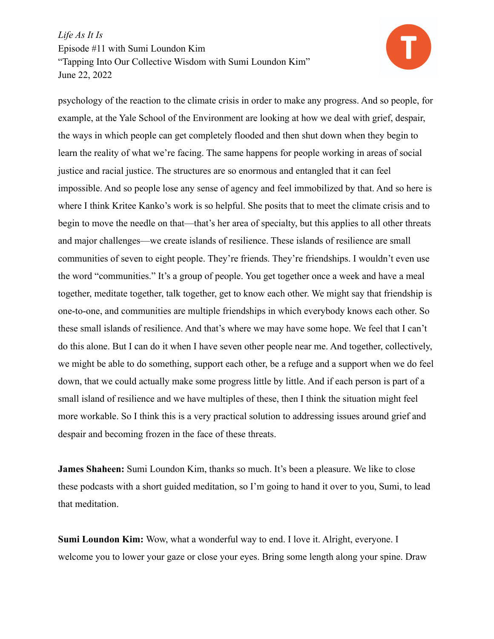

psychology of the reaction to the climate crisis in order to make any progress. And so people, for example, at the Yale School of the Environment are looking at how we deal with grief, despair, the ways in which people can get completely flooded and then shut down when they begin to learn the reality of what we're facing. The same happens for people working in areas of social justice and racial justice. The structures are so enormous and entangled that it can feel impossible. And so people lose any sense of agency and feel immobilized by that. And so here is where I think Kritee Kanko's work is so helpful. She posits that to meet the climate crisis and to begin to move the needle on that—that's her area of specialty, but this applies to all other threats and major challenges—we create islands of resilience. These islands of resilience are small communities of seven to eight people. They're friends. They're friendships. I wouldn't even use the word "communities." It's a group of people. You get together once a week and have a meal together, meditate together, talk together, get to know each other. We might say that friendship is one-to-one, and communities are multiple friendships in which everybody knows each other. So these small islands of resilience. And that's where we may have some hope. We feel that I can't do this alone. But I can do it when I have seven other people near me. And together, collectively, we might be able to do something, support each other, be a refuge and a support when we do feel down, that we could actually make some progress little by little. And if each person is part of a small island of resilience and we have multiples of these, then I think the situation might feel more workable. So I think this is a very practical solution to addressing issues around grief and despair and becoming frozen in the face of these threats.

**James Shaheen:** Sumi Loundon Kim, thanks so much. It's been a pleasure. We like to close these podcasts with a short guided meditation, so I'm going to hand it over to you, Sumi, to lead that meditation.

**Sumi Loundon Kim:** Wow, what a wonderful way to end. I love it. Alright, everyone. I welcome you to lower your gaze or close your eyes. Bring some length along your spine. Draw